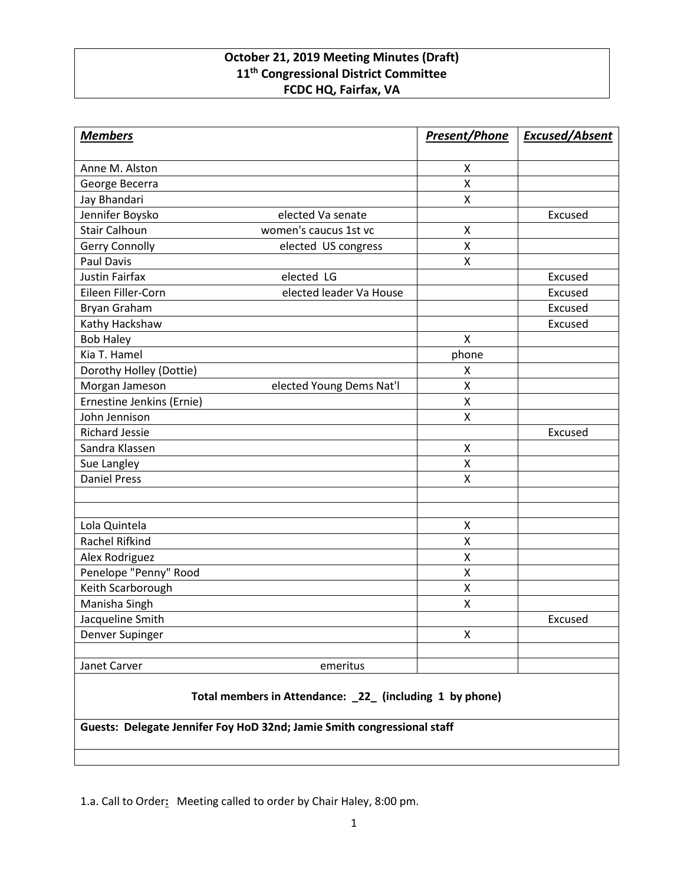## **October 21, 2019 Meeting Minutes (Draft) 11th Congressional District Committee FCDC HQ, Fairfax, VA**

| <b>Members</b>                                           |                          | <b>Present/Phone</b> | <b>Excused/Absent</b> |
|----------------------------------------------------------|--------------------------|----------------------|-----------------------|
| Anne M. Alston                                           |                          | X                    |                       |
| George Becerra                                           |                          | Χ                    |                       |
| Jay Bhandari                                             |                          | X                    |                       |
| Jennifer Boysko                                          | elected Va senate        |                      | Excused               |
| <b>Stair Calhoun</b>                                     | women's caucus 1st vc    | X                    |                       |
| Gerry Connolly                                           | elected US congress      | X                    |                       |
| <b>Paul Davis</b>                                        |                          | X                    |                       |
| <b>Justin Fairfax</b>                                    | elected LG               |                      | Excused               |
| Eileen Filler-Corn                                       | elected leader Va House  |                      | Excused               |
| Bryan Graham                                             |                          |                      | Excused               |
| Kathy Hackshaw                                           |                          |                      | Excused               |
| <b>Bob Haley</b>                                         |                          | X                    |                       |
| Kia T. Hamel                                             |                          | phone                |                       |
| Dorothy Holley (Dottie)                                  |                          | X                    |                       |
| Morgan Jameson                                           | elected Young Dems Nat'l | x                    |                       |
| Ernestine Jenkins (Ernie)                                |                          | Χ                    |                       |
| John Jennison                                            |                          | Χ                    |                       |
| <b>Richard Jessie</b>                                    |                          |                      | Excused               |
| Sandra Klassen                                           |                          | Χ                    |                       |
| Sue Langley                                              |                          | X                    |                       |
| <b>Daniel Press</b>                                      |                          | X                    |                       |
|                                                          |                          |                      |                       |
|                                                          |                          |                      |                       |
| Lola Quintela                                            |                          | X                    |                       |
| Rachel Rifkind                                           |                          | X                    |                       |
| Alex Rodriguez                                           |                          | Χ                    |                       |
| Penelope "Penny" Rood                                    |                          | Χ                    |                       |
| Keith Scarborough                                        |                          | Χ                    |                       |
| Manisha Singh                                            |                          | Χ                    |                       |
| Jacqueline Smith                                         |                          |                      | Excused               |
| Denver Supinger                                          |                          | X                    |                       |
| Janet Carver                                             | emeritus                 |                      |                       |
| Total members in Attendance: _22_ (including 1 by phone) |                          |                      |                       |

**Guests: Delegate Jennifer Foy HoD 32nd; Jamie Smith congressional staff**

1.a. Call to Order**:** Meeting called to order by Chair Haley, 8:00 pm.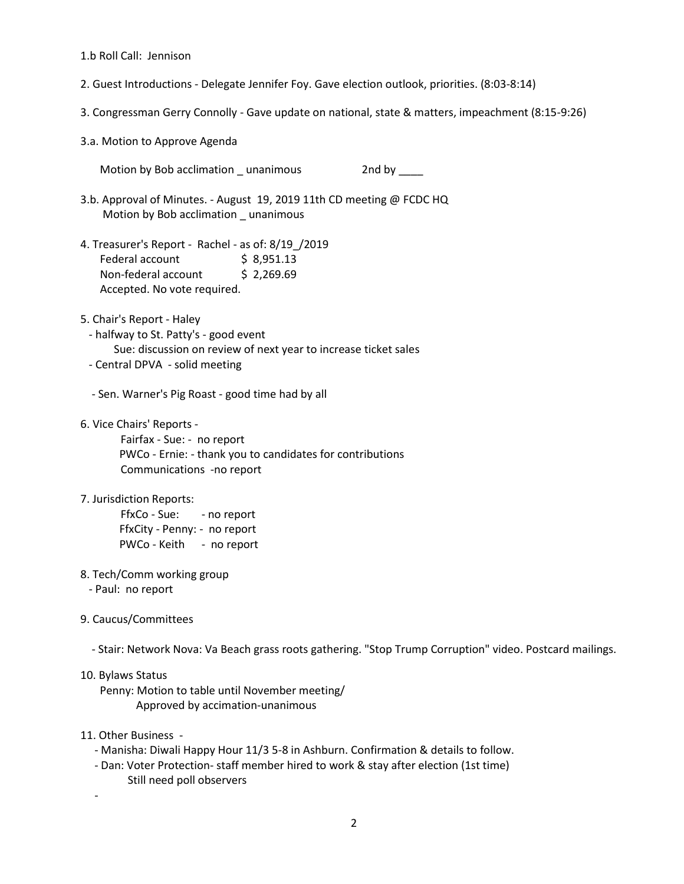1.b Roll Call: Jennison

- 2. Guest Introductions Delegate Jennifer Foy. Gave election outlook, priorities. (8:03-8:14)
- 3. Congressman Gerry Connolly Gave update on national, state & matters, impeachment (8:15-9:26)

3.a. Motion to Approve Agenda

Motion by Bob acclimation \_ unanimous 2nd by \_\_\_\_

- 3.b. Approval of Minutes. August 19, 2019 11th CD meeting @ FCDC HQ Motion by Bob acclimation \_ unanimous
- 4. Treasurer's Report Rachel as of: 8/19\_/2019 Federal account \$8,951.13 Non-federal account \$ 2,269.69 Accepted. No vote required.
- 5. Chair's Report Haley
- halfway to St. Patty's good event Sue: discussion on review of next year to increase ticket sales

- Central DPVA - solid meeting

- Sen. Warner's Pig Roast - good time had by all

6. Vice Chairs' Reports -

Fairfax - Sue: - no report PWCo - Ernie: - thank you to candidates for contributions Communications -no report

7. Jurisdiction Reports:

FfxCo - Sue: - no report FfxCity - Penny: - no report PWCo - Keith - no report

- 8. Tech/Comm working group
	- Paul: no report
- 9. Caucus/Committees

- Stair: Network Nova: Va Beach grass roots gathering. "Stop Trump Corruption" video. Postcard mailings.

## 10. Bylaws Status

 Penny: Motion to table until November meeting/ Approved by accimation-unanimous

- 11. Other Business
	- Manisha: Diwali Happy Hour 11/3 5-8 in Ashburn. Confirmation & details to follow.
	- Dan: Voter Protection- staff member hired to work & stay after election (1st time) Still need poll observers

-